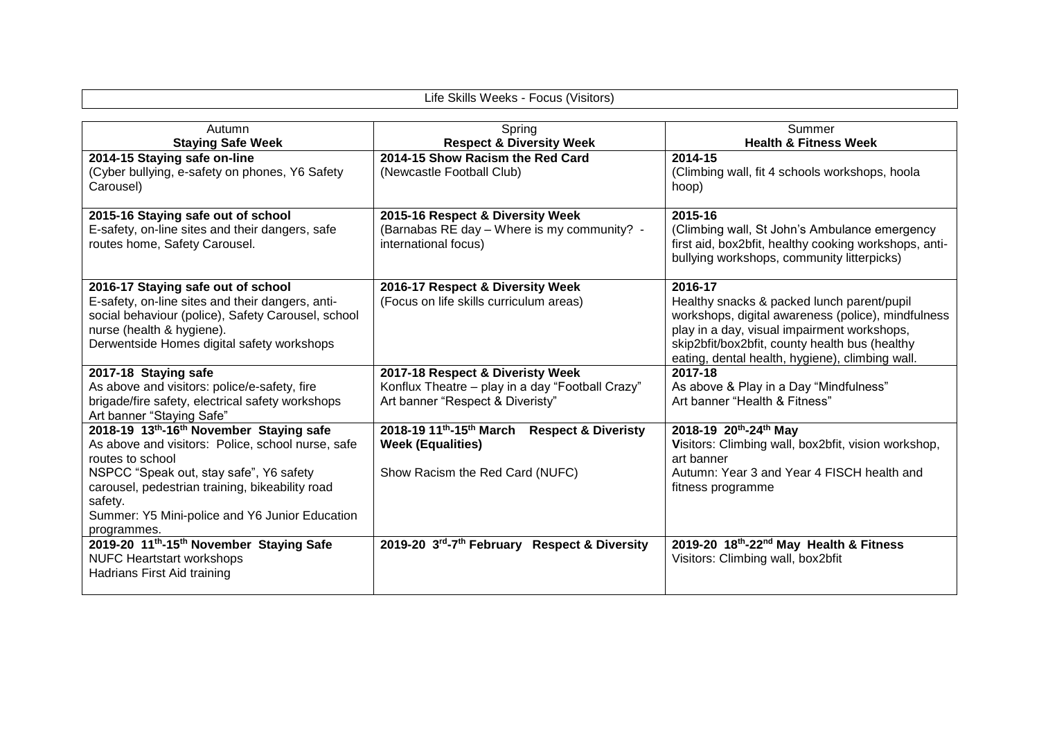| Life Skills Weeks - Focus (Visitors)                                                                                                                                                                                                                                                       |                                                                                                                          |                                                                                                                                                                                                                                                                 |  |  |
|--------------------------------------------------------------------------------------------------------------------------------------------------------------------------------------------------------------------------------------------------------------------------------------------|--------------------------------------------------------------------------------------------------------------------------|-----------------------------------------------------------------------------------------------------------------------------------------------------------------------------------------------------------------------------------------------------------------|--|--|
| Autumn                                                                                                                                                                                                                                                                                     | Spring                                                                                                                   | Summer                                                                                                                                                                                                                                                          |  |  |
| <b>Staying Safe Week</b>                                                                                                                                                                                                                                                                   | <b>Respect &amp; Diversity Week</b>                                                                                      | <b>Health &amp; Fitness Week</b>                                                                                                                                                                                                                                |  |  |
| 2014-15 Staying safe on-line<br>(Cyber bullying, e-safety on phones, Y6 Safety<br>Carousel)                                                                                                                                                                                                | 2014-15 Show Racism the Red Card<br>(Newcastle Football Club)                                                            | 2014-15<br>(Climbing wall, fit 4 schools workshops, hoola<br>hoop)                                                                                                                                                                                              |  |  |
| 2015-16 Staying safe out of school<br>E-safety, on-line sites and their dangers, safe<br>routes home, Safety Carousel.                                                                                                                                                                     | 2015-16 Respect & Diversity Week<br>(Barnabas RE day - Where is my community? -<br>international focus)                  | 2015-16<br>(Climbing wall, St John's Ambulance emergency<br>first aid, box2bfit, healthy cooking workshops, anti-<br>bullying workshops, community litterpicks)                                                                                                 |  |  |
| 2016-17 Staying safe out of school<br>E-safety, on-line sites and their dangers, anti-<br>social behaviour (police), Safety Carousel, school<br>nurse (health & hygiene).<br>Derwentside Homes digital safety workshops                                                                    | 2016-17 Respect & Diversity Week<br>(Focus on life skills curriculum areas)                                              | 2016-17<br>Healthy snacks & packed lunch parent/pupil<br>workshops, digital awareness (police), mindfulness<br>play in a day, visual impairment workshops,<br>skip2bfit/box2bfit, county health bus (healthy<br>eating, dental health, hygiene), climbing wall. |  |  |
| 2017-18 Staying safe<br>As above and visitors: police/e-safety, fire<br>brigade/fire safety, electrical safety workshops<br>Art banner "Staying Safe"                                                                                                                                      | 2017-18 Respect & Diveristy Week<br>Konflux Theatre - play in a day "Football Crazy"<br>Art banner "Respect & Diveristy" | 2017-18<br>As above & Play in a Day "Mindfulness"<br>Art banner "Health & Fitness"                                                                                                                                                                              |  |  |
| 2018-19 13th-16th November Staying safe<br>As above and visitors: Police, school nurse, safe<br>routes to school<br>NSPCC "Speak out, stay safe", Y6 safety<br>carousel, pedestrian training, bikeability road<br>safety.<br>Summer: Y5 Mini-police and Y6 Junior Education<br>programmes. | 2018-19 11th-15th March Respect & Diveristy<br><b>Week (Equalities)</b><br>Show Racism the Red Card (NUFC)               | 2018-19 20th-24th May<br>Visitors: Climbing wall, box2bfit, vision workshop,<br>art banner<br>Autumn: Year 3 and Year 4 FISCH health and<br>fitness programme                                                                                                   |  |  |
| 2019-20 11th-15th November Staying Safe<br><b>NUFC Heartstart workshops</b><br>Hadrians First Aid training                                                                                                                                                                                 | 2019-20 3rd-7th February Respect & Diversity                                                                             | 2019-20 18th-22nd May Health & Fitness<br>Visitors: Climbing wall, box2bfit                                                                                                                                                                                     |  |  |